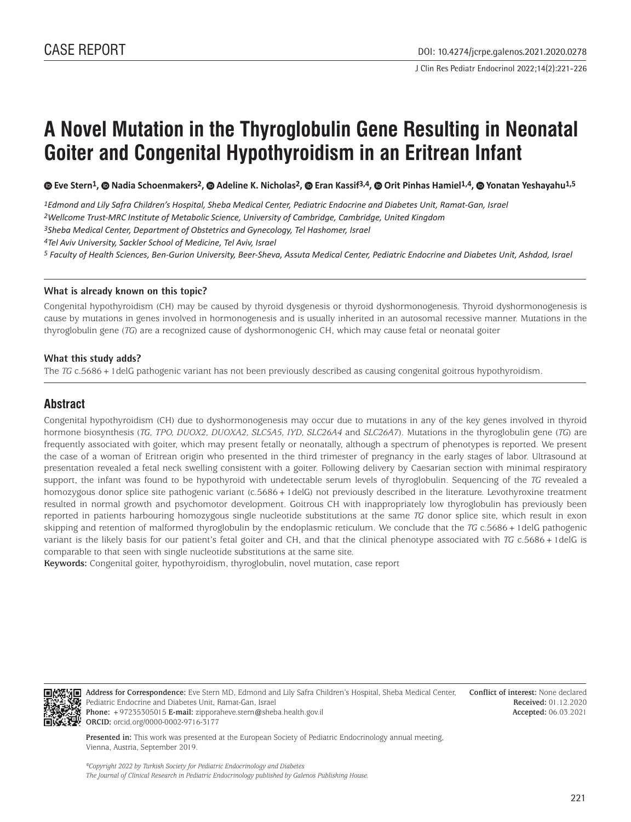# **A Novel Mutation in the Thyroglobulin Gene Resulting in Neonatal Goiter and Congenital Hypothyroidism in an Eritrean Infant**

**©Eve Stern<sup>1</sup>, © Nadia Schoenmakers<sup>2</sup>, © Adeline K. Nicholas<sup>2</sup>, © Eran Kassif<sup>3,4</sup>, © Orit Pinhas Hamiel<sup>1,4</sup>, © Yonatan Yeshayahu<sup>1,5</sup>** 

*1Edmond and Lily Safra Children's Hospital, Sheba Medical Center, Pediatric Endocrine and Diabetes Unit, Ramat-Gan, Israel*

*2Wellcome Trust-MRC Institute of Metabolic Science, University of Cambridge, Cambridge, United Kingdom*

*3Sheba Medical Center, Department of Obstetrics and Gynecology, Tel Hashomer, Israel*

*4Tel Aviv University, Sackler School of Medicine, Tel Aviv, Israel*

*5 Faculty of Health Sciences, Ben-Gurion University, Beer-Sheva, Assuta Medical Center, Pediatric Endocrine and Diabetes Unit, Ashdod, Israel*

#### **What is already known on this topic?**

Congenital hypothyroidism (CH) may be caused by thyroid dysgenesis or thyroid dyshormonogenesis. Thyroid dyshormonogenesis is cause by mutations in genes involved in hormonogenesis and is usually inherited in an autosomal recessive manner. Mutations in the thyroglobulin gene (*TG*) are a recognized cause of dyshormonogenic CH, which may cause fetal or neonatal goiter

#### **What this study adds?**

The *TG* c.5686+1delG pathogenic variant has not been previously described as causing congenital goitrous hypothyroidism.

## **Abstract**

Congenital hypothyroidism (CH) due to dyshormonogenesis may occur due to mutations in any of the key genes involved in thyroid hormone biosynthesis (*TG, TPO, DUOX2, DUOXA2, SLC5A5, IYD, SLC26A4* and *SLC26A7*). Mutations in the thyroglobulin gene (*TG*) are frequently associated with goiter, which may present fetally or neonatally, although a spectrum of phenotypes is reported. We present the case of a woman of Eritrean origin who presented in the third trimester of pregnancy in the early stages of labor. Ultrasound at presentation revealed a fetal neck swelling consistent with a goiter. Following delivery by Caesarian section with minimal respiratory support, the infant was found to be hypothyroid with undetectable serum levels of thyroglobulin. Sequencing of the *TG* revealed a homozygous donor splice site pathogenic variant (c.5686 + 1delG) not previously described in the literature. Levothyroxine treatment resulted in normal growth and psychomotor development. Goitrous CH with inappropriately low thyroglobulin has previously been reported in patients harbouring homozygous single nucleotide substitutions at the same *TG* donor splice site, which result in exon skipping and retention of malformed thyroglobulin by the endoplasmic reticulum. We conclude that the *TG* c.5686+1delG pathogenic variant is the likely basis for our patient's fetal goiter and CH, and that the clinical phenotype associated with *TG* c.5686+1delG is comparable to that seen with single nucleotide substitutions at the same site.

**Keywords:** Congenital goiter, hypothyroidism, thyroglobulin, novel mutation, case report



**Address for Correspondence:** Eve Stern MD, Edmond and Lily Safra Children's Hospital, Sheba Medical Center, Pediatric Endocrine and Diabetes Unit, Ramat-Gan, Israel **Phone:** +97235305015 **E-mail:** zipporaheve.stern@sheba.health.gov.il **ORCID:** orcid.org/0000-0002-9716-3177

**Conflict of interest:** None declared **Received:** 01.12.2020 **Accepted:** 06.03.2021

**Presented in:** This work was presented at the European Society of Pediatric Endocrinology annual meeting, Vienna, Austria, September 2019.

*©Copyright 2022 by Turkish Society for Pediatric Endocrinology and Diabetes The Journal of Clinical Research in Pediatric Endocrinology published by Galenos Publishing House.*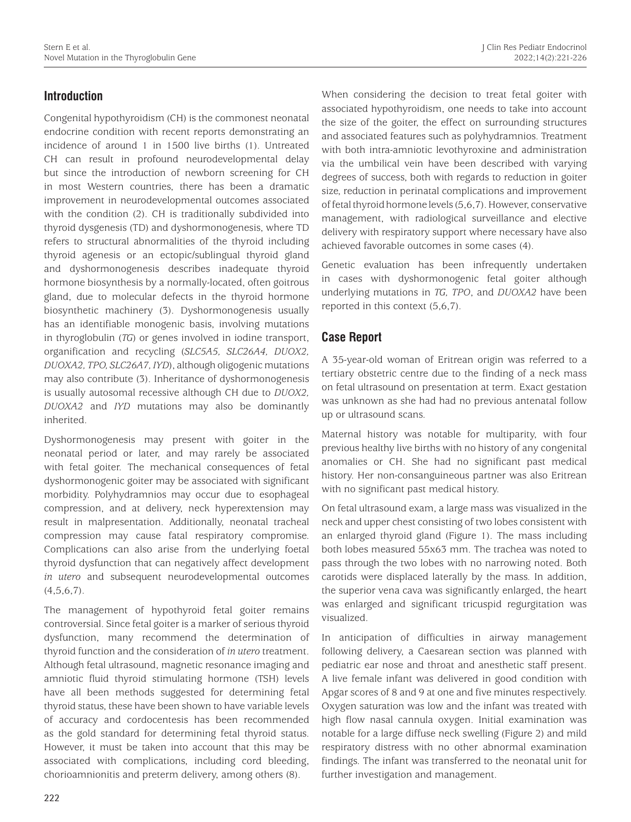# **Introduction**

Congenital hypothyroidism (CH) is the commonest neonatal endocrine condition with recent reports demonstrating an incidence of around 1 in 1500 live births (1). Untreated CH can result in profound neurodevelopmental delay but since the introduction of newborn screening for CH in most Western countries, there has been a dramatic improvement in neurodevelopmental outcomes associated with the condition (2). CH is traditionally subdivided into thyroid dysgenesis (TD) and dyshormonogenesis, where TD refers to structural abnormalities of the thyroid including thyroid agenesis or an ectopic/sublingual thyroid gland and dyshormonogenesis describes inadequate thyroid hormone biosynthesis by a normally-located, often goitrous gland, due to molecular defects in the thyroid hormone biosynthetic machinery (3). Dyshormonogenesis usually has an identifiable monogenic basis, involving mutations in thyroglobulin (*TG*) or genes involved in iodine transport, organification and recycling (*SLC5A5, SLC26A4, DUOX2, DUOXA2, TPO, SLC26A7, IYD*), although oligogenic mutations may also contribute (3). Inheritance of dyshormonogenesis is usually autosomal recessive although CH due to *DUOX2, DUOXA2* and *IYD* mutations may also be dominantly inherited.

Dyshormonogenesis may present with goiter in the neonatal period or later, and may rarely be associated with fetal goiter. The mechanical consequences of fetal dyshormonogenic goiter may be associated with significant morbidity. Polyhydramnios may occur due to esophageal compression, and at delivery, neck hyperextension may result in malpresentation. Additionally, neonatal tracheal compression may cause fatal respiratory compromise. Complications can also arise from the underlying foetal thyroid dysfunction that can negatively affect development *in utero* and subsequent neurodevelopmental outcomes  $(4,5,6,7)$ .

The management of hypothyroid fetal goiter remains controversial. Since fetal goiter is a marker of serious thyroid dysfunction, many recommend the determination of thyroid function and the consideration of *in utero* treatment. Although fetal ultrasound, magnetic resonance imaging and amniotic fluid thyroid stimulating hormone (TSH) levels have all been methods suggested for determining fetal thyroid status, these have been shown to have variable levels of accuracy and cordocentesis has been recommended as the gold standard for determining fetal thyroid status. However, it must be taken into account that this may be associated with complications, including cord bleeding, chorioamnionitis and preterm delivery, among others (8).

When considering the decision to treat fetal goiter with associated hypothyroidism, one needs to take into account the size of the goiter, the effect on surrounding structures and associated features such as polyhydramnios. Treatment with both intra-amniotic levothyroxine and administration via the umbilical vein have been described with varying degrees of success, both with regards to reduction in goiter size, reduction in perinatal complications and improvement of fetal thyroid hormone levels (5,6,7). However, conservative management, with radiological surveillance and elective delivery with respiratory support where necessary have also achieved favorable outcomes in some cases (4).

Genetic evaluation has been infrequently undertaken in cases with dyshormonogenic fetal goiter although underlying mutations in *TG, TPO*, and *DUOXA2* have been reported in this context (5,6,7).

# **Case Report**

A 35-year-old woman of Eritrean origin was referred to a tertiary obstetric centre due to the finding of a neck mass on fetal ultrasound on presentation at term. Exact gestation was unknown as she had had no previous antenatal follow up or ultrasound scans.

Maternal history was notable for multiparity, with four previous healthy live births with no history of any congenital anomalies or CH. She had no significant past medical history. Her non-consanguineous partner was also Eritrean with no significant past medical history.

On fetal ultrasound exam, a large mass was visualized in the neck and upper chest consisting of two lobes consistent with an enlarged thyroid gland (Figure 1). The mass including both lobes measured 55x63 mm. The trachea was noted to pass through the two lobes with no narrowing noted. Both carotids were displaced laterally by the mass. In addition, the superior vena cava was significantly enlarged, the heart was enlarged and significant tricuspid regurgitation was visualized.

In anticipation of difficulties in airway management following delivery, a Caesarean section was planned with pediatric ear nose and throat and anesthetic staff present. A live female infant was delivered in good condition with Apgar scores of 8 and 9 at one and five minutes respectively. Oxygen saturation was low and the infant was treated with high flow nasal cannula oxygen. Initial examination was notable for a large diffuse neck swelling (Figure 2) and mild respiratory distress with no other abnormal examination findings. The infant was transferred to the neonatal unit for further investigation and management.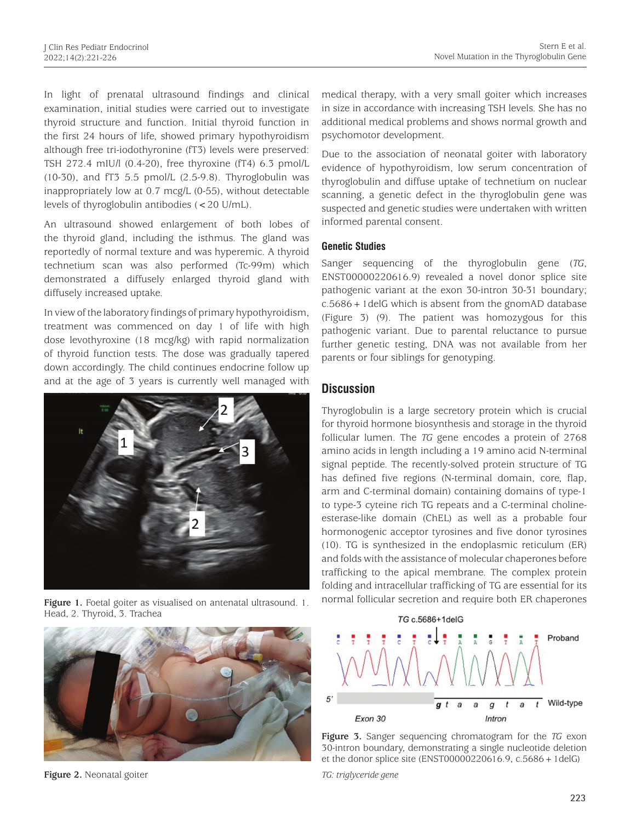In light of prenatal ultrasound findings and clinical examination, initial studies were carried out to investigate thyroid structure and function. Initial thyroid function in the first 24 hours of life, showed primary hypothyroidism although free tri-iodothyronine (fT3) levels were preserved: TSH 272.4 mIU/l (0.4-20), free thyroxine (fT4) 6.3 pmol/L (10-30), and fT3 5.5 pmol/L (2.5-9.8). Thyroglobulin was inappropriately low at 0.7 mcg/L (0-55), without detectable levels of thyroglobulin antibodies (<20 U/mL).

An ultrasound showed enlargement of both lobes of the thyroid gland, including the isthmus. The gland was reportedly of normal texture and was hyperemic. A thyroid technetium scan was also performed (Tc-99m) which demonstrated a diffusely enlarged thyroid gland with diffusely increased uptake.

In view of the laboratory findings of primary hypothyroidism, treatment was commenced on day 1 of life with high dose levothyroxine (18 mcg/kg) with rapid normalization of thyroid function tests. The dose was gradually tapered down accordingly. The child continues endocrine follow up and at the age of 3 years is currently well managed with



Head, 2. Thyroid, 3. Trachea



**Figure 2.** Neonatal goiter

medical therapy, with a very small goiter which increases in size in accordance with increasing TSH levels. She has no additional medical problems and shows normal growth and psychomotor development.

Due to the association of neonatal goiter with laboratory evidence of hypothyroidism, low serum concentration of thyroglobulin and diffuse uptake of technetium on nuclear scanning, a genetic defect in the thyroglobulin gene was suspected and genetic studies were undertaken with written informed parental consent.

### **Genetic Studies**

Sanger sequencing of the thyroglobulin gene (*TG*, ENST00000220616.9) revealed a novel donor splice site pathogenic variant at the exon 30-intron 30-31 boundary; c.5686+1delG which is absent from the gnomAD database (Figure 3) (9). The patient was homozygous for this pathogenic variant. Due to parental reluctance to pursue further genetic testing, DNA was not available from her parents or four siblings for genotyping.

## **Discussion**

Thyroglobulin is a large secretory protein which is crucial for thyroid hormone biosynthesis and storage in the thyroid follicular lumen. The *TG* gene encodes a protein of 2768 amino acids in length including a 19 amino acid N-terminal signal peptide. The recently-solved protein structure of TG has defined five regions (N-terminal domain, core, flap, arm and C-terminal domain) containing domains of type-1 to type-3 cyteine rich TG repeats and a C-terminal cholineesterase-like domain (ChEL) as well as a probable four hormonogenic acceptor tyrosines and five donor tyrosines (10). TG is synthesized in the endoplasmic reticulum (ER) and folds with the assistance of molecular chaperones before trafficking to the apical membrane. The complex protein folding and intracellular trafficking of TG are essential for its Figure 1. Foetal goiter as visualised on antenatal ultrasound. 1. normal follicular secretion and require both ER chaperones





*TG: triglyceride gene*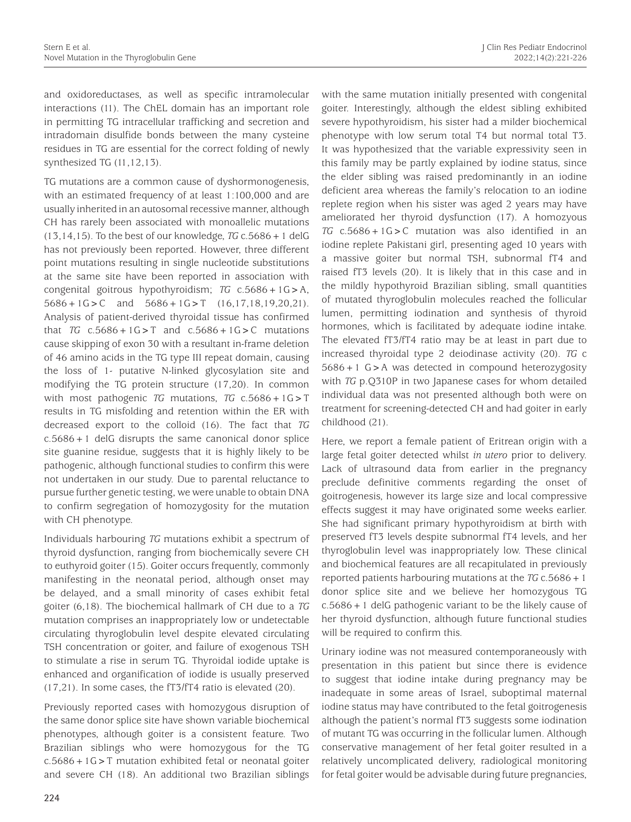and oxidoreductases, as well as specific intramolecular interactions (11). The ChEL domain has an important role in permitting TG intracellular trafficking and secretion and intradomain disulfide bonds between the many cysteine residues in TG are essential for the correct folding of newly synthesized TG (11,12,13).

TG mutations are a common cause of dyshormonogenesis, with an estimated frequency of at least 1:100,000 and are usually inherited in an autosomal recessive manner, although CH has rarely been associated with monoallelic mutations  $(13,14,15)$ . To the best of our knowledge, *TG* c.5686 + 1 delG has not previously been reported. However, three different point mutations resulting in single nucleotide substitutions at the same site have been reported in association with congenital goitrous hypothyroidism; *TG* c.5686+1G>A,  $5686 + 1G > C$  and  $5686 + 1G > T$   $(16, 17, 18, 19, 20, 21)$ . Analysis of patient-derived thyroidal tissue has confirmed that *TG*  $c.5686 + 1G > T$  and  $c.5686 + 1G > C$  mutations cause skipping of exon 30 with a resultant in-frame deletion of 46 amino acids in the TG type III repeat domain, causing the loss of 1- putative N-linked glycosylation site and modifying the TG protein structure (17,20). In common with most pathogenic *TG* mutations, *TG* c.5686+1G>T results in TG misfolding and retention within the ER with decreased export to the colloid (16). The fact that *TG*  c.5686+1 delG disrupts the same canonical donor splice site guanine residue, suggests that it is highly likely to be pathogenic, although functional studies to confirm this were not undertaken in our study. Due to parental reluctance to pursue further genetic testing, we were unable to obtain DNA to confirm segregation of homozygosity for the mutation with CH phenotype.

Individuals harbouring *TG* mutations exhibit a spectrum of thyroid dysfunction, ranging from biochemically severe CH to euthyroid goiter (15). Goiter occurs frequently, commonly manifesting in the neonatal period, although onset may be delayed, and a small minority of cases exhibit fetal goiter (6,18). The biochemical hallmark of CH due to a *TG* mutation comprises an inappropriately low or undetectable circulating thyroglobulin level despite elevated circulating TSH concentration or goiter, and failure of exogenous TSH to stimulate a rise in serum TG. Thyroidal iodide uptake is enhanced and organification of iodide is usually preserved (17,21). In some cases, the fT3/fT4 ratio is elevated (20).

Previously reported cases with homozygous disruption of the same donor splice site have shown variable biochemical phenotypes, although goiter is a consistent feature. Two Brazilian siblings who were homozygous for the TG  $c.5686 + 1G > T$  mutation exhibited fetal or neonatal goiter and severe CH (18). An additional two Brazilian siblings with the same mutation initially presented with congenital goiter. Interestingly, although the eldest sibling exhibited severe hypothyroidism, his sister had a milder biochemical phenotype with low serum total T4 but normal total T3. It was hypothesized that the variable expressivity seen in this family may be partly explained by iodine status, since the elder sibling was raised predominantly in an iodine deficient area whereas the family's relocation to an iodine replete region when his sister was aged 2 years may have ameliorated her thyroid dysfunction (17). A homozyous *TG* c.5686+1G>C mutation was also identified in an iodine replete Pakistani girl, presenting aged 10 years with a massive goiter but normal TSH, subnormal fT4 and raised fT3 levels (20). It is likely that in this case and in the mildly hypothyroid Brazilian sibling, small quantities of mutated thyroglobulin molecules reached the follicular lumen, permitting iodination and synthesis of thyroid hormones, which is facilitated by adequate iodine intake. The elevated fT3/fT4 ratio may be at least in part due to increased thyroidal type 2 deiodinase activity (20). *TG* c 5686+1 G>A was detected in compound heterozygosity with *TG* p.Q310P in two Japanese cases for whom detailed individual data was not presented although both were on treatment for screening-detected CH and had goiter in early childhood (21).

Here, we report a female patient of Eritrean origin with a large fetal goiter detected whilst *in utero* prior to delivery. Lack of ultrasound data from earlier in the pregnancy preclude definitive comments regarding the onset of goitrogenesis, however its large size and local compressive effects suggest it may have originated some weeks earlier. She had significant primary hypothyroidism at birth with preserved fT3 levels despite subnormal fT4 levels, and her thyroglobulin level was inappropriately low. These clinical and biochemical features are all recapitulated in previously reported patients harbouring mutations at the *TG* c.5686+1 donor splice site and we believe her homozygous TG c.5686+1 delG pathogenic variant to be the likely cause of her thyroid dysfunction, although future functional studies will be required to confirm this.

Urinary iodine was not measured contemporaneously with presentation in this patient but since there is evidence to suggest that iodine intake during pregnancy may be inadequate in some areas of Israel, suboptimal maternal iodine status may have contributed to the fetal goitrogenesis although the patient's normal fT3 suggests some iodination of mutant TG was occurring in the follicular lumen. Although conservative management of her fetal goiter resulted in a relatively uncomplicated delivery, radiological monitoring for fetal goiter would be advisable during future pregnancies,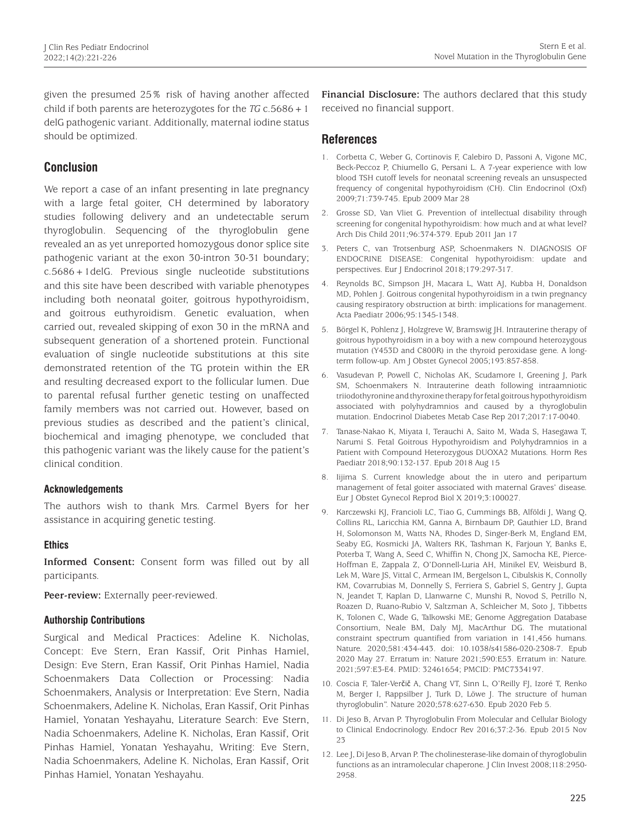given the presumed 25% risk of having another affected child if both parents are heterozygotes for the  $TG \nc.5686 + 1$ delG pathogenic variant. Additionally, maternal iodine status should be optimized.

## **Conclusion**

We report a case of an infant presenting in late pregnancy with a large fetal goiter, CH determined by laboratory studies following delivery and an undetectable serum thyroglobulin. Sequencing of the thyroglobulin gene revealed an as yet unreported homozygous donor splice site pathogenic variant at the exon 30-intron 30-31 boundary; c.5686+1delG. Previous single nucleotide substitutions and this site have been described with variable phenotypes including both neonatal goiter, goitrous hypothyroidism, and goitrous euthyroidism. Genetic evaluation, when carried out, revealed skipping of exon 30 in the mRNA and subsequent generation of a shortened protein. Functional evaluation of single nucleotide substitutions at this site demonstrated retention of the TG protein within the ER and resulting decreased export to the follicular lumen. Due to parental refusal further genetic testing on unaffected family members was not carried out. However, based on previous studies as described and the patient's clinical, biochemical and imaging phenotype, we concluded that this pathogenic variant was the likely cause for the patient's clinical condition.

## **Acknowledgements**

The authors wish to thank Mrs. Carmel Byers for her assistance in acquiring genetic testing.

#### **Ethics**

**Informed Consent:** Consent form was filled out by all participants.

**Peer-review:** Externally peer-reviewed.

#### **Authorship Contributions**

Surgical and Medical Practices: Adeline K. Nicholas, Concept: Eve Stern, Eran Kassif, Orit Pinhas Hamiel, Design: Eve Stern, Eran Kassif, Orit Pinhas Hamiel, Nadia Schoenmakers Data Collection or Processing: Nadia Schoenmakers, Analysis or Interpretation: Eve Stern, Nadia Schoenmakers, Adeline K. Nicholas, Eran Kassif, Orit Pinhas Hamiel, Yonatan Yeshayahu, Literature Search: Eve Stern, Nadia Schoenmakers, Adeline K. Nicholas, Eran Kassif, Orit Pinhas Hamiel, Yonatan Yeshayahu, Writing: Eve Stern, Nadia Schoenmakers, Adeline K. Nicholas, Eran Kassif, Orit Pinhas Hamiel, Yonatan Yeshayahu.

**Financial Disclosure:** The authors declared that this study received no financial support.

## **References**

- 1. Corbetta C, Weber G, Cortinovis F, Calebiro D, Passoni A, Vigone MC, Beck-Peccoz P, Chiumello G, Persani L. A 7-year experience with low blood TSH cutoff levels for neonatal screening reveals an unsuspected frequency of congenital hypothyroidism (CH). Clin Endocrinol (Oxf) 2009;71:739-745. Epub 2009 Mar 28
- 2. Grosse SD, Van Vliet G. Prevention of intellectual disability through screening for congenital hypothyroidism: how much and at what level? Arch Dis Child 2011;96:374-379. Epub 2011 Jan 17
- 3. Peters C, van Trotsenburg ASP, Schoenmakers N. DIAGNOSIS OF ENDOCRINE DISEASE: Congenital hypothyroidism: update and perspectives. Eur J Endocrinol 2018;179:297-317.
- 4. Reynolds BC, Simpson JH, Macara L, Watt AJ, Kubba H, Donaldson MD, Pohlen J. Goitrous congenital hypothyroidism in a twin pregnancy causing respiratory obstruction at birth: implications for management. Acta Paediatr 2006;95:1345-1348.
- 5. Börgel K, Pohlenz J, Holzgreve W, Bramswig JH. Intrauterine therapy of goitrous hypothyroidism in a boy with a new compound heterozygous mutation (Y453D and C800R) in the thyroid peroxidase gene. A longterm follow-up. Am J Obstet Gynecol 2005;193:857-858.
- 6. Vasudevan P, Powell C, Nicholas AK, Scudamore I, Greening J, Park SM, Schoenmakers N. Intrauterine death following intraamniotic triiodothyronine and thyroxine therapy for fetal goitrous hypothyroidism associated with polyhydramnios and caused by a thyroglobulin mutation. Endocrinol Diabetes Metab Case Rep 2017;2017:17-0040.
- 7. Tanase-Nakao K, Miyata I, Terauchi A, Saito M, Wada S, Hasegawa T, Narumi S. Fetal Goitrous Hypothyroidism and Polyhydramnios in a Patient with Compound Heterozygous DUOXA2 Mutations. Horm Res Paediatr 2018;90:132-137. Epub 2018 Aug 15
- 8. Iijima S. Current knowledge about the in utero and peripartum management of fetal goiter associated with maternal Graves' disease. Eur J Obstet Gynecol Reprod Biol X 2019;3:100027.
- 9. Karczewski KJ, Francioli LC, Tiao G, Cummings BB, Alföldi J, Wang Q, Collins RL, Laricchia KM, Ganna A, Birnbaum DP, Gauthier LD, Brand H, Solomonson M, Watts NA, Rhodes D, Singer-Berk M, England EM, Seaby EG, Kosmicki JA, Walters RK, Tashman K, Farjoun Y, Banks E, Poterba T, Wang A, Seed C, Whiffin N, Chong JX, Samocha KE, Pierce-Hoffman E, Zappala Z, O'Donnell-Luria AH, Minikel EV, Weisburd B, Lek M, Ware JS, Vittal C, Armean IM, Bergelson L, Cibulskis K, Connolly KM, Covarrubias M, Donnelly S, Ferriera S, Gabriel S, Gentry J, Gupta N, Jeandet T, Kaplan D, Llanwarne C, Munshi R, Novod S, Petrillo N, Roazen D, Ruano-Rubio V, Saltzman A, Schleicher M, Soto J, Tibbetts K, Tolonen C, Wade G, Talkowski ME; Genome Aggregation Database Consortium, Neale BM, Daly MJ, MacArthur DG. The mutational constraint spectrum quantified from variation in 141,456 humans. Nature. 2020;581:434-443. doi: 10.1038/s41586-020-2308-7. Epub 2020 May 27. Erratum in: Nature 2021;590:E53. Erratum in: Nature. 2021;597:E3-E4. PMID: 32461654; PMCID: PMC7334197.
- 10. Coscia F, Taler-Verčič A, Chang VT, Sinn L, O'Reilly FJ, Izoré T, Renko M, Berger I, Rappsilber J, Turk D, Löwe J. The structure of human thyroglobulin". Nature 2020;578:627-630. Epub 2020 Feb 5.
- 11. Di Jeso B, Arvan P. Thyroglobulin From Molecular and Cellular Biology to Clinical Endocrinology. Endocr Rev 2016;37:2-36. Epub 2015 Nov 23
- 12. Lee J, Di Jeso B, Arvan P. The cholinesterase-like domain of thyroglobulin functions as an intramolecular chaperone. J Clin Invest 2008;118:2950- 2958.